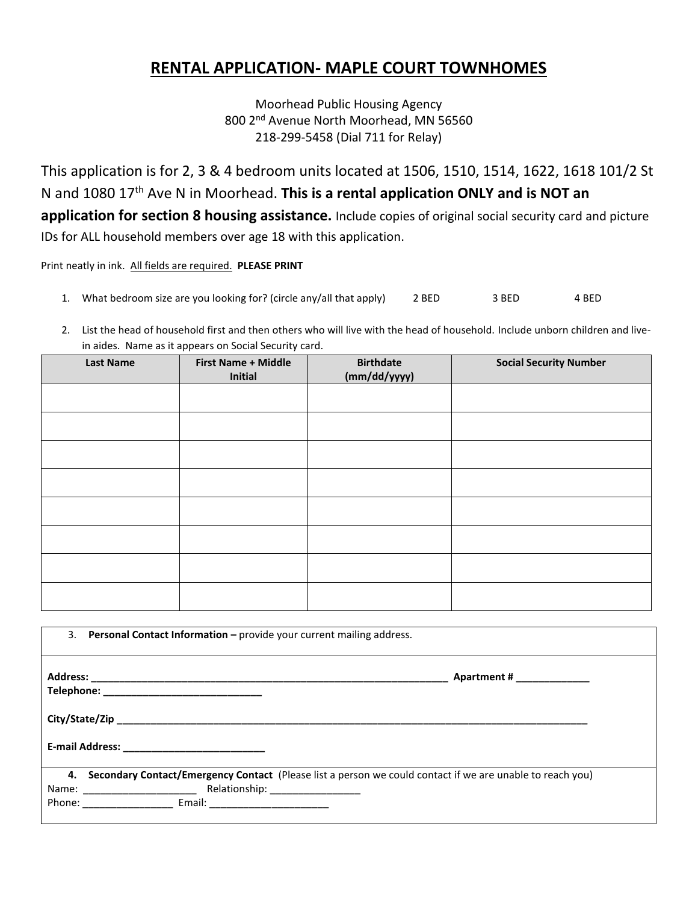## **RENTAL APPLICATION- MAPLE COURT TOWNHOMES**

Moorhead Public Housing Agency 800 2<sup>nd</sup> Avenue North Moorhead, MN 56560 218-299-5458 (Dial 711 for Relay)

This application is for 2, 3 & 4 bedroom units located at 1506, 1510, 1514, 1622, 1618 101/2 St N and 1080 17th Ave N in Moorhead. **This is a rental application ONLY and is NOT an application for section 8 housing assistance.** Include copies of original social security card and picture IDs for ALL household members over age 18 with this application.

Print neatly in ink. All fields are required. **PLEASE PRINT**

- 1. What bedroom size are you looking for? (circle any/all that apply) 2 BED 3 BED 4 BED
- 2. List the head of household first and then others who will live with the head of household. Include unborn children and livein aides. Name as it appears on Social Security card.

| <b>Last Name</b> | <b>First Name + Middle</b><br>Initial | <b>Birthdate</b><br>(mm/dd/yyyy) | <b>Social Security Number</b> |
|------------------|---------------------------------------|----------------------------------|-------------------------------|
|                  |                                       |                                  |                               |
|                  |                                       |                                  |                               |
|                  |                                       |                                  |                               |
|                  |                                       |                                  |                               |
|                  |                                       |                                  |                               |
|                  |                                       |                                  |                               |
|                  |                                       |                                  |                               |
|                  |                                       |                                  |                               |

| 3. | <b>Personal Contact Information - provide your current mailing address.</b>                                  |
|----|--------------------------------------------------------------------------------------------------------------|
|    | Apartment # _____________                                                                                    |
|    |                                                                                                              |
|    |                                                                                                              |
|    | 4. Secondary Contact/Emergency Contact (Please list a person we could contact if we are unable to reach you) |
|    |                                                                                                              |
|    |                                                                                                              |
|    |                                                                                                              |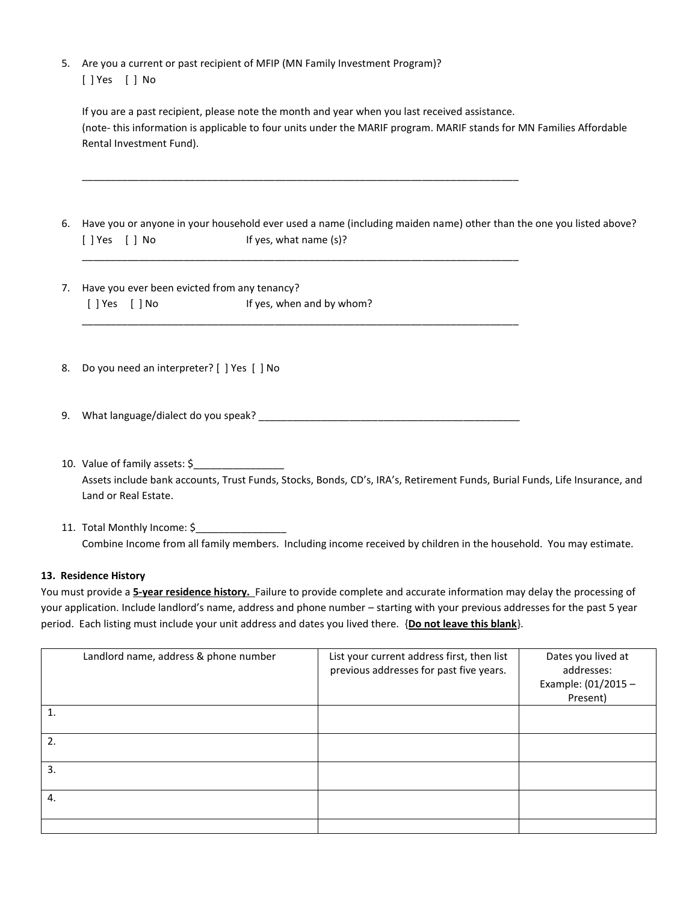5. Are you a current or past recipient of MFIP (MN Family Investment Program)? [ ] Yes [ ] No

| If you are a past recipient, please note the month and year when you last received assistance.                       |
|----------------------------------------------------------------------------------------------------------------------|
| (note- this information is applicable to four units under the MARIF program. MARIF stands for MN Families Affordable |
| Rental Investment Fund).                                                                                             |

6. Have you or anyone in your household ever used a name (including maiden name) other than the one you listed above? [ ] Yes [ ] No If yes, what name (s)?

7. Have you ever been evicted from any tenancy? [ ] Yes [ ] No If yes, when and by whom? \_\_\_\_\_\_\_\_\_\_\_\_\_\_\_\_\_\_\_\_\_\_\_\_\_\_\_\_\_\_\_\_\_\_\_\_\_\_\_\_\_\_\_\_\_\_\_\_\_\_\_\_\_\_\_\_\_\_\_\_\_\_\_\_\_\_\_\_\_\_\_\_\_\_\_\_\_

- 8. Do you need an interpreter? [ ] Yes [ ] No
- 9. What language/dialect do you speak? \_\_\_\_\_\_\_\_\_\_\_\_\_\_\_\_\_\_\_\_\_\_\_\_\_\_\_\_\_\_\_\_\_\_\_\_\_\_\_\_\_\_\_\_\_\_

\_\_\_\_\_\_\_\_\_\_\_\_\_\_\_\_\_\_\_\_\_\_\_\_\_\_\_\_\_\_\_\_\_\_\_\_\_\_\_\_\_\_\_\_\_\_\_\_\_\_\_\_\_\_\_\_\_\_\_\_\_\_\_\_\_\_\_\_\_\_\_\_\_\_\_\_\_

\_\_\_\_\_\_\_\_\_\_\_\_\_\_\_\_\_\_\_\_\_\_\_\_\_\_\_\_\_\_\_\_\_\_\_\_\_\_\_\_\_\_\_\_\_\_\_\_\_\_\_\_\_\_\_\_\_\_\_\_\_\_\_\_\_\_\_\_\_\_\_\_\_\_\_\_\_

- 10. Value of family assets: \$ Assets include bank accounts, Trust Funds, Stocks, Bonds, CD's, IRA's, Retirement Funds, Burial Funds, Life Insurance, and Land or Real Estate.
- 11. Total Monthly Income: \$ Combine Income from all family members. Including income received by children in the household. You may estimate.

## **13. Residence History**

You must provide a **5-year residence history.** Failure to provide complete and accurate information may delay the processing of your application. Include landlord's name, address and phone number – starting with your previous addresses for the past 5 year period. Each listing must include your unit address and dates you lived there. {**Do not leave this blank**}.

|              | Landlord name, address & phone number | List your current address first, then list<br>previous addresses for past five years. | Dates you lived at<br>addresses:<br>Example: (01/2015 -<br>Present) |
|--------------|---------------------------------------|---------------------------------------------------------------------------------------|---------------------------------------------------------------------|
| 1.           |                                       |                                                                                       |                                                                     |
| 2.           |                                       |                                                                                       |                                                                     |
| $\mathbf{3}$ |                                       |                                                                                       |                                                                     |
| 4.           |                                       |                                                                                       |                                                                     |
|              |                                       |                                                                                       |                                                                     |